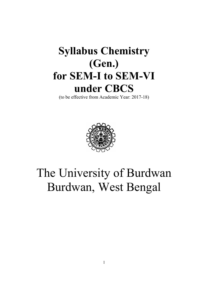# Syllabus Chemistry (Gen.) for SEM-I to SEM-VI under CBCS

(to be effective from Academic Year: 2017-18)



# The University of Burdwan Burdwan, West Bengal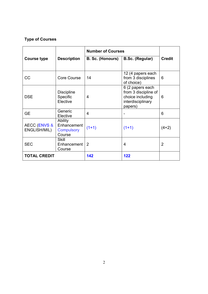### Type of Courses

|                                         |                                                       | <b>Number of Courses</b> |                                                                                              |                |
|-----------------------------------------|-------------------------------------------------------|--------------------------|----------------------------------------------------------------------------------------------|----------------|
| <b>Course type</b>                      | <b>Description</b>                                    | B. Sc. (Honours)         | B.Sc. (Regular)                                                                              | <b>Credit</b>  |
|                                         |                                                       |                          |                                                                                              |                |
| CC                                      | <b>Core Course</b>                                    | 14                       | 12 (4 papers each<br>from 3 disciplines<br>of choice)                                        | 6              |
| <b>DSE</b>                              | <b>Discipline</b><br>Specific<br>Elective             | 4                        | 6 (2 papers each<br>from 3 discipline of<br>choice including<br>interdisciplinary<br>papers) | 6              |
| <b>GE</b>                               | Generic<br>Elective                                   | 4                        |                                                                                              | 6              |
| <b>AECC (ENVS &amp;</b><br>ENGLISH/MIL) | Ability<br>Enhancement<br><b>Compulsory</b><br>Course | $(1+1)$                  | $(1+1)$                                                                                      | $(4+2)$        |
| <b>SEC</b>                              | <b>Skill</b><br>Enhancement<br>Course                 | 2                        | 4                                                                                            | $\overline{2}$ |
| <b>TOTAL CREDIT</b>                     |                                                       | 142                      | 122                                                                                          |                |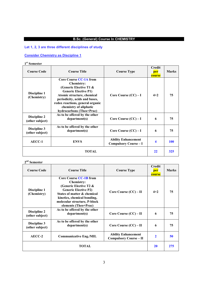### B.Sc. (General) Course In CHEMISTRY

### Let 1, 2, 3 are three different disciplines of study

### Consider Chemistry as Discipline 1

### 1<sup>st</sup> Semester

| <b>Course Code</b>                     | <b>Course Title</b>                                                                                                                                                                                                                                                     | <b>Course Type</b>                                       | Credit<br>per<br>course | <b>Marks</b> |
|----------------------------------------|-------------------------------------------------------------------------------------------------------------------------------------------------------------------------------------------------------------------------------------------------------------------------|----------------------------------------------------------|-------------------------|--------------|
| <b>Discipline 1</b><br>(Chemistry)     | <b>Core Course CC-1A from</b><br><b>Chemistry:</b><br>(Generic Elective T1 $\&$<br><b>Generic Elective P1)</b><br>Atomic structure, chemical<br>periodicity, acids and bases,<br>redox reactions, general organic<br>chemistry of aliphatic<br>hydrocarbons (Theo+Prac) | Core Course $(CC) - I$                                   | $4 + 2$                 | 75           |
| <b>Discipline 2</b><br>(other subject) | As to be offered by the other<br>department(s)                                                                                                                                                                                                                          | Core Course $(CC) - I$                                   | 6                       | 75           |
| Discipline 3<br>(other subject)        | As to be offered by the other<br>department(s)                                                                                                                                                                                                                          | Core Course $(CC) - I$                                   | 6                       | 75           |
| <b>AECC-1</b>                          | <b>ENVS</b>                                                                                                                                                                                                                                                             | <b>Ability Enhancement</b><br><b>Compulsory Course-I</b> | 4                       | <b>100</b>   |
| <b>TOTAL</b>                           |                                                                                                                                                                                                                                                                         |                                                          | 22                      | 325          |

#### 2<sup>nd</sup> Semester

| <b>Course Code</b>                     | <b>Course Title</b>                                                                                                                                                                                                               | <b>Course Type</b>                                          | <b>Credit</b><br>per<br>course | <b>Marks</b> |
|----------------------------------------|-----------------------------------------------------------------------------------------------------------------------------------------------------------------------------------------------------------------------------------|-------------------------------------------------------------|--------------------------------|--------------|
| <b>Discipline 1</b><br>(Chemistry)     | <b>Core Course CC-1B from</b><br><b>Chemistry:</b><br>(Generic Elective T2 &<br><b>Generic Elective P2)</b><br>States of matter & chemical<br>kinetics, chemical bonding,<br>molecular structure, P-block<br>elements (Theo+Prac) | Core Course $(CC) - II$                                     | $4 + 2$                        | 75           |
| <b>Discipline 2</b><br>(other subject) | As to be offered by the other<br>department(s)                                                                                                                                                                                    | Core Course $(CC) - II$                                     | 6                              | 75           |
| Discipline 3<br>(other subject)        | As to be offered by the other<br>department(s)                                                                                                                                                                                    | Core Course $(CC) - II$                                     | 6                              | 75           |
| AECC-2                                 | <b>Communicative Eng./MIL</b>                                                                                                                                                                                                     | <b>Ability Enhancement</b><br><b>Compulsory Course – II</b> | $\mathbf{2}$                   | 50           |
| TOTAL                                  |                                                                                                                                                                                                                                   |                                                             | <b>20</b>                      | 275          |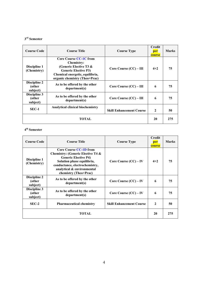### $3<sup>rd</sup>$  Semester

| <b>Course Code</b>                 | <b>Course Title</b>                                                                                                                                                                | <b>Course Type</b>              | <b>Credit</b><br>per<br>course | <b>Marks</b> |
|------------------------------------|------------------------------------------------------------------------------------------------------------------------------------------------------------------------------------|---------------------------------|--------------------------------|--------------|
| Discipline 1<br>(Chemistry)        | <b>Core Course CC-1C from</b><br><b>Chemistry:</b><br>(Generic Elective T3 $\&$<br><b>Generic Elective P3)</b><br>Chemical energetic, equilibria,<br>organic chemistry (Theo+Prac) | Core Course (CC) – III          | $4 + 2$                        | 75           |
| Discipline 2<br>(other<br>subject) | As to be offered by the other<br>department(s)                                                                                                                                     | Core Course $(CC) - III$        | 6                              | 75           |
| Discipline 3<br>(other<br>subject) | As to be offered by the other<br>department(s)                                                                                                                                     | Core Course $(CC) - III$        | 6                              | 75           |
| $SEC-1$                            | <b>Analytical clinical biochemistry</b>                                                                                                                                            | <b>Skill Enhancement Course</b> | $\mathbf{2}$                   | 50           |
| TOTAL                              |                                                                                                                                                                                    |                                 | 20                             | 275          |

### $4^{\rm th}$  Semester

| <b>Course Code</b>                        | <b>Course Title</b>                                                                                                                                                                                                                 | <b>Course Type</b>              | <b>Credit</b><br>per<br>course | <b>Marks</b> |
|-------------------------------------------|-------------------------------------------------------------------------------------------------------------------------------------------------------------------------------------------------------------------------------------|---------------------------------|--------------------------------|--------------|
| Discipline 1<br>(Chemistry)               | <b>Core Course CC-1D from</b><br><b>Chemistry: (Generic Elective T4 &amp;</b><br><b>Generic Elective P4)</b><br>Solution phase equilibria,<br>conductance, electrochemistry,<br>analytical & environmental<br>chemistry (Theo+Prac) | Core Course $(CC) - IV$         | $4 + 2$                        | 75           |
| <b>Discipline 2</b><br>(other<br>subject) | As to be offered by the other<br>department(s)                                                                                                                                                                                      | Core Course $(CC) - IV$         | 6                              | 75           |
| Discipline 3<br>(other<br>subject)        | As to be offered by the other<br>department(s)                                                                                                                                                                                      | Core Course $(CC) - IV$         | 6                              | 75           |
| $SEC-2$                                   | <b>Pharmaceutical chemistry</b>                                                                                                                                                                                                     | <b>Skill Enhancement Course</b> | $\mathbf{2}$                   | 50           |
| <b>TOTAL</b>                              |                                                                                                                                                                                                                                     |                                 | 20                             | 275          |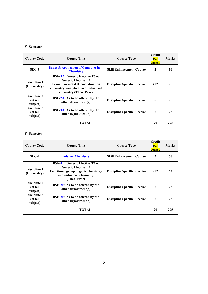### $5<sup>th</sup>$  Semester

| <b>Course Code</b>                 | <b>Course Title</b>                                                                                                                                                         | <b>Course Type</b>                  | <b>Credit</b><br>per<br>course | <b>Marks</b> |
|------------------------------------|-----------------------------------------------------------------------------------------------------------------------------------------------------------------------------|-------------------------------------|--------------------------------|--------------|
| $SEC-3$                            | <b>Basics &amp; Application of Computer in</b><br><b>Chemistry</b>                                                                                                          | <b>Skill Enhancement Course</b>     | $\mathbf{2}$                   | 50           |
| Discipline 1<br>(Chemistry)        | <b>DSE-1A: Generic Elective T5 &amp;</b><br><b>Generic Elective P5</b><br>Transition metal & co-ordination<br>chemistry, analytical and industrial<br>chemistry (Theo+Prac) | <b>Discipline Specific Elective</b> | $4 + 2$                        | 75           |
| Discipline 2<br>(other<br>subject) | $DSE-2A$ : As to be offered by the<br>other department(s)                                                                                                                   | <b>Discipline Specific Elective</b> | 6                              | 75           |
| Discipline 3<br>(other<br>subject) | DSE-3A: As to be offered by the<br>other department(s)                                                                                                                      | <b>Discipline Specific Elective</b> | 6                              | 75           |
| <b>TOTAL</b>                       |                                                                                                                                                                             |                                     | 20                             | 275          |

### $6<sup>th</sup>$  Semester

| Course Code                        | <b>Course Title</b>                                                                                                                                        | <b>Course Type</b>                  | <b>Credit</b><br>per<br>course | <b>Marks</b> |
|------------------------------------|------------------------------------------------------------------------------------------------------------------------------------------------------------|-------------------------------------|--------------------------------|--------------|
| $SEC-4$                            | <b>Polymer Chemistry</b>                                                                                                                                   | <b>Skill Enhancement Course</b>     | $\mathbf{2}$                   | 50           |
| Discipline 1<br>(Chemistry)        | <b>DSE-1B:</b> Generic Elective T5 &<br><b>Generic Elective P5</b><br><b>Functional group organic chemistry</b><br>and industrial chemistry<br>(Theo+Prac) | <b>Discipline Specific Elective</b> | $4 + 2$                        | 75           |
| Discipline 2<br>(other<br>subject) | $\overline{SSE-2B}$ : As to be offered by the<br>other department(s)                                                                                       | <b>Discipline Specific Elective</b> | 6                              | 75           |
| Discipline 3<br>(other<br>subject) | DSE-3B: As to be offered by the<br>other department(s)                                                                                                     | <b>Discipline Specific Elective</b> | 6                              | 75           |
| <b>TOTAL</b>                       |                                                                                                                                                            |                                     | 20                             | 275          |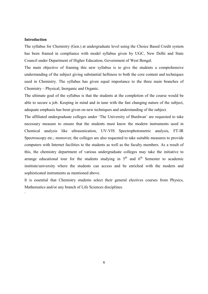### Introduction

`

The syllabus for Chemistry (Gen.) at undergraduate level using the Choice Based Credit system has been framed in compliance with model syllabus given by UGC, New Delhi and State Council under Department of Higher Education, Government of West Bengal.

The main objective of framing this new syllabus is to give the students a comprehensive understanding of the subject giving substantial heftiness to both the core content and techniques used in Chemistry. The syllabus has given equal importance to the three main branches of Chemistry – Physical, Inorganic and Organic.

The ultimate goal of the syllabus is that the students at the completion of the course would be able to secure a job. Keeping in mind and in tune with the fast changing nature of the subject, adequate emphasis has been given on new techniques and understanding of the subject.

The affiliated undergraduate colleges under 'The University of Burdwan' are requested to take necessary measure to ensure that the students must know the modern instruments used in Chemical analysis like ultrasonication, UV-VIS Spectrophotometric analysis, FT-IR Spectroscopy etc.; moreover, the colleges are also requested to take suitable measures to provide computers with Internet facilities to the students as well as the faculty members. As a result of this, the chemistry department of various undergraduate colleges may take the initiative to arrange educational tour for the students studying in  $5<sup>th</sup>$  and  $6<sup>th</sup>$  Semester to academic institute/university where the students can access and be enriched with the modern and sophisticated instruments as mentioned above.

It is essential that Chemistry students select their general electives courses from Physics, Mathematics and/or any branch of Life Sciences disciplines.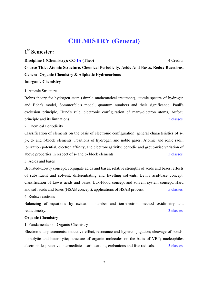## CHEMISTRY (General)

### 1st Semester:

Discipline 1 (Chemistry): CC-1A (Theo) 4 Credits 4 Credits

Course Title: Atomic Structure, Chemical Periodicity, Acids And Bases, Redox Reactions, General Organic Chemistry & Aliphatic Hydrocarbons

### Inorganic Chemistry

### 1. Atomic Structure

Bohr's theory for hydrogen atom (simple mathematical treatment), atomic spectra of hydrogen and Bohr's model, Sommerfeld's model, quantum numbers and their significance, Pauli's exclusion principle, Hund's rule, electronic configuration of many-electron atoms, Aufbau principle and its limitations. 5 classes

2. Chemical Periodicity

Classification of elements on the basis of electronic configuration: general characteristics of s-, p-, d- and f-block elements. Positions of hydrogen and noble gases. Atomic and ionic radii, ionization potential, electron affinity, and electronegativity; periodic and group-wise variation of above properties in respect of s- and p- block elements. 5 classes

3. Acids and bases

Brönsted–Lowry concept, conjugate acids and bases, relative strengths of acids and bases, effects of substituent and solvent, differentiating and levelling solvents. Lewis acid-base concept, classification of Lewis acids and bases, Lux-Flood concept and solvent system concept. Hard and soft acids and bases (HSAB concept), applications of HSAB process. 5 classes

4. Redox reactions

Balancing of equations by oxidation number and ion-electron method oxidimetry and reductimetry. 3 classes

### Organic Chemistry

1. Fundamentals of Organic Chemistry

Electronic displacements: inductive effect, resonance and hyperconjugation; cleavage of bonds: homolytic and heterolytic; structure of organic molecules on the basis of VBT; nucleophiles electrophiles; reactive intermediates: carbocations, carbanions and free radicals. 5 classes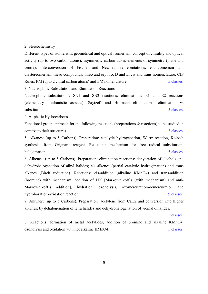#### 2. Stereochemistry

Different types of isomerism; geometrical and optical isomerism; concept of chirality and optical activity (up to two carbon atoms); asymmetric carbon atom; elements of symmetry (plane and centre); interconversion of Fischer and Newman representations; enantiomerism and diastereomerism, meso compounds; threo and erythro, D and L, cis and trans nomenclature; CIP Rules: R/S (upto 2 chiral carbon atoms) and E/Z nomenclature. 5 classes

3. Nucleophilic Substitution and Elimination Reactions

Nucleophilic substitutions: SN1 and SN2 reactions; eliminations: E1 and E2 reactions (elementary mechanistic aspects); Saytzeff and Hofmann eliminations; elimination vs substitution. 5 classes

4. Aliphatic Hydrocarbons

Functional group approach for the following reactions (preparations & reactions) to be studied in context to their structures. 3 classes

5. Alkanes: (up to 5 Carbons). Preparation: catalytic hydrogenation, Wurtz reaction, Kolbe's synthesis, from Grignard reagent. Reactions: mechanism for free radical substitution: halogenation. Solar set the set of the set of the set of the set of the set of the set of the set of the set of the set of the set of the set of the set of the set of the set of the set of the set of the set of the set of

6. Alkenes: (up to 5 Carbons). Preparation: elimination reactions: dehydration of alcohols and dehydrohalogenation of alkyl halides; cis alkenes (partial catalytic hydrogenation) and trans alkenes (Birch reduction). Reactions: cis-addition (alkaline KMnO4) and trans-addition (bromine) with mechanism, addition of HX [Markownikoff's (with mechanism) and anti-Markownikoff's addition], hydration, ozonolysis, oxymercuration-demercuration and hydroboration-oxidation reaction. 9 classes

7. Alkynes: (up to 5 Carbons). Preparation: acetylene from CaC2 and conversion into higher alkynes; by dehalogenation of tetra halides and dehydrohalogenation of vicinal dihalides.

#### 5 classes

8. Reactions: formation of metal acetylides, addition of bromine and alkaline KMnO4, ozonolysis and oxidation with hot alkaline KMnO4. 5 classes

8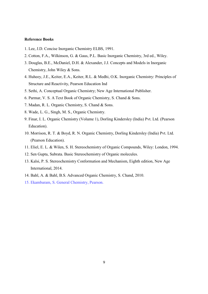- 1. Lee, J.D. Concise Inorganic Chemistry ELBS, 1991.
- 2. Cotton, F.A., Wilkinson, G. & Gaus, P.L. Basic Inorganic Chemistry, 3rd ed., Wiley.
- 3. Douglas, B.E., McDaniel, D.H. & Alexander, J.J. Concepts and Models in Inorganic Chemistry, John Wiley & Sons.
- 4. Huheey, J.E., Keiter, E.A., Keiter, R.L. & Medhi, O.K. Inorganic Chemistry: Principles of Structure and Reactivity, Pearson Education Ind
- 5. Sethi, A. Conceptual Organic Chemistry; New Age International Publisher.
- 6. Parmar, V. S. A Text Book of Organic Chemistry, S. Chand & Sons.
- 7. Madan, R. L. Organic Chemistry, S. Chand & Sons.
- 8. Wade, L. G., Singh, M. S., Organic Chemistry.
- 9. Finar, I. L. Organic Chemistry (Volume 1), Dorling Kindersley (India) Pvt. Ltd. (Pearson Education).
- 10. Morrison, R. T. & Boyd, R. N. Organic Chemistry, Dorling Kindersley (India) Pvt. Ltd. (Pearson Education).
- 11. Eliel, E. L. & Wilen, S. H. Stereochemistry of Organic Compounds, Wiley: London, 1994.
- 12. Sen Gupta, Subrata. Basic Stereochemistry of Organic molecules.
- 13. Kalsi, P. S. Stereochemistry Conformation and Mechanism, Eighth edition, New Age International, 2014.
- 14. Bahl, A. & Bahl, B.S. Advanced Organic Chemistry, S. Chand, 2010.
- 15. Ekambaram, S. General Chemistry, Pearson.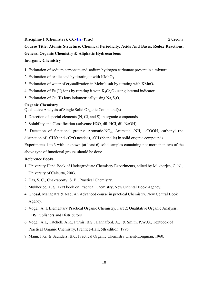#### Discipline 1 (Chemistry): CC-1A (Prac) 2 Credits 2 2 Credits

### Course Title: Atomic Structure, Chemical Periodicity, Acids And Bases, Redox Reactions, General Organic Chemistry & Aliphatic Hydrocarbons

### Inorganic Chemistry

1. Estimation of sodium carbonate and sodium hydrogen carbonate present in a mixture.

- 2. Estimation of oxalic acid by titrating it with KMnO4.
- 3. Estimation of water of crystallization in Mohr's salt by titrating with KMnO4.
- 4. Estimation of Fe (II) ions by titrating it with  $K_2Cr_2O_7$  using internal indicator.
- 5. Estimation of Cu (II) ions iodometrically using  $Na<sub>2</sub>S<sub>2</sub>O<sub>3</sub>$ .

#### Organic Chemistry

Qualitative Analysis of Single Solid Organic Compound(s)

- 1. Detection of special elements (N, Cl, and S) in organic compounds.
- 2. Solubility and Classification (solvents: H2O, dil. HCl, dil. NaOH)

3. Detection of functional groups: Aromatic-NO<sub>2</sub>, Aromatic -NH<sub>2</sub>, -COOH, carbonyl (no distinction of –CHO and >C=O needed), -OH (phenolic) in solid organic compounds.

Experiments 1 to 3 with unknown (at least 6) solid samples containing not more than two of the above type of functional groups should be done.

- 1. University Hand Book of Undergraduate Chemistry Experiments, edited by Mukherjee, G. N., University of Calcutta, 2003.
- 2. Das, S. C., Chakraborty, S. B., Practical Chemistry.
- 3. Mukherjee, K. S. Text book on Practical Chemistry, New Oriental Book Agency.
- 4. Ghosal, Mahapatra & Nad, An Advanced course in practical Chemistry, New Central Book Agency.
- 5. Vogel, A. I. Elementary Practical Organic Chemistry, Part 2: Qualitative Organic Analysis, CBS Publishers and Distributors.
- 6. Vogel, A.I., Tatchell, A.R., Furnis, B.S., Hannaford, A.J. & Smith, P.W.G., Textbook of Practical Organic Chemistry, Prentice-Hall, 5th edition, 1996.
- 7. Mann, F.G. & Saunders, B.C. Practical Organic Chemistry Orient-Longman, 1960.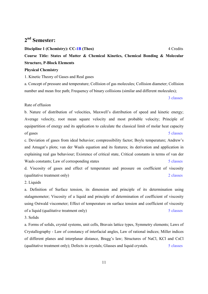### 2nd Semester:

Discipline 1 (Chemistry): CC-1B (Theo) 4 Credits Course Title: States of Matter & Chemical Kinetics, Chemical Bonding & Molecular Structure, P-Block Elements

### Physical Chemistry

1. Kinetic Theory of Gases and Real gases

a. Concept of pressure and temperature; Collision of gas molecules; Collision diameter; Collision number and mean free path; Frequency of binary collisions (similar and different molecules);

3 classes

### Rate of effusion

b. Nature of distribution of velocities, Maxwell's distribution of speed and kinetic energy; Average velocity, root mean square velocity and most probable velocity; Principle of equipartition of energy and its application to calculate the classical limit of molar heat capacity of gases 5 classes

c. Deviation of gases from ideal behavior; compressibility factor; Boyle temperature; Andrew's and Amagat's plots; van der Waals equation and its features; its derivation and application in explaining real gas behaviour; Existence of critical state, Critical constants in terms of van der Waals constants; Law of corresponding states 5 classes

d. Viscosity of gases and effect of temperature and pressure on coefficient of viscosity (qualitative treatment only) 2 classes

2. Liquids

a. Definition of Surface tension, its dimension and principle of its determination using stalagmometer; Viscosity of a liquid and principle of determination of coefficient of viscosity using Ostwald viscometer; Effect of temperature on surface tension and coefficient of viscosity of a liquid (qualitative treatment only) 5 classes

3. Solids

a. Forms of solids, crystal systems, unit cells, Bravais lattice types, Symmetry elements; Laws of Crystallography - Law of constancy of interfacial angles, Law of rational indices; Miller indices of different planes and interplanar distance, Bragg's law; Structures of NaCl, KCl and CsCl (qualitative treatment only); Defects in crystals; Glasses and liquid crystals. 5 classes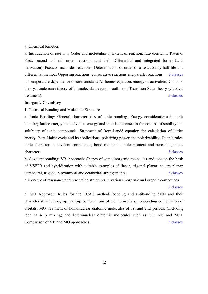### 4. Chemical Kinetics

a. Introduction of rate law, Order and molecularity; Extent of reaction; rate constants; Rates of First, second and nth order reactions and their Differential and integrated forms (with derivation); Pseudo first order reactions; Determination of order of a reaction by half-life and differential method; Opposing reactions, consecutive reactions and parallel reactions 5 classes b. Temperature dependence of rate constant; Arrhenius equation, energy of activation; Collision theory; Lindemann theory of unimolecular reaction; outline of Transition State theory (classical treatment). 5 classes

### Inorganic Chemistry

### 1. Chemical Bonding and Molecular Structure

a. Ionic Bonding: General characteristics of ionic bonding. Energy considerations in ionic bonding, lattice energy and solvation energy and their importance in the context of stability and solubility of ionic compounds. Statement of Born-Landé equation for calculation of lattice energy, Born-Haber cycle and its applications, polarizing power and polarizability. Fajan's rules, ionic character in covalent compounds, bond moment, dipole moment and percentage ionic character. 5 classes

b. Covalent bonding: VB Approach: Shapes of some inorganic molecules and ions on the basis of VSEPR and hybridization with suitable examples of linear, trigonal planar, square planar, tetrahedral, trigonal bipyramidal and octahedral arrangements. 3 classes

c. Concept of resonance and resonating structures in various inorganic and organic compounds.

#### 2 classes

d. MO Approach: Rules for the LCAO method, bonding and antibonding MOs and their characteristics for s-s, s-p and p-p combinations of atomic orbitals, nonbonding combination of orbitals, MO treatment of homonuclear diatomic molecules of 1st and 2nd periods. (including idea of s- p mixing) and heteronuclear diatomic molecules such as CO, NO and NO+. Comparison of VB and MO approaches. 5 classes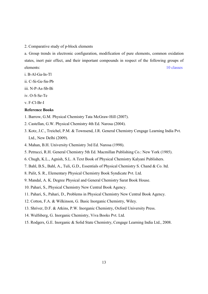2. Comparative study of p-block elements

a. Group trends in electronic configuration, modification of pure elements, common oxidation states, inert pair effect, and their important compounds in respect of the following groups of elements: 10 classes

- i. B-Al-Ga-In-Tl
- ii. C-Si-Ge-Sn-Pb
- iii. N-P-As-Sb-Bi
- iv. O-S-Se-Te
- v. F-Cl-Br-I

- 1. Barrow, G.M. Physical Chemistry Tata McGraw‐Hill (2007).
- 2. Castellan, G.W. Physical Chemistry 4th Ed. Narosa (2004).
- 3. Kotz, J.C., Treichel, P.M. & Townsend, J.R. General Chemistry Cengage Learning India Pvt. Ltd., New Delhi (2009).
- 4. Mahan, B.H. University Chemistry 3rd Ed. Narosa (1998).
- 5. Petrucci, R.H. General Chemistry 5th Ed. Macmillan Publishing Co.: New York (1985).
- 6. Chugh, K.L., Agnish, S.L. A Text Book of Physical Chemistry Kalyani Publishers.
- 7. Bahl, B.S., Bahl, A., Tuli, G.D., Essentials of Physical Chemistry S. Chand & Co. ltd.
- 8. Palit, S. R., Elementary Physical Chemistry Book Syndicate Pvt. Ltd.
- 9. Mandal, A. K. Degree Physical and General Chemistry Sarat Book House.
- 10. Pahari, S., Physical Chemistry New Central Book Agency.
- 11. Pahari, S., Pahari, D., Problems in Physical Chemistry New Central Book Agency.
- 12. Cotton, F.A. & Wilkinson, G. Basic Inorganic Chemistry, Wiley.
- 13. Shriver, D.F. & Atkins, P.W. Inorganic Chemistry, Oxford University Press.
- 14. Wulfsberg, G. Inorganic Chemistry, Viva Books Pvt. Ltd.
- 15. Rodgers, G.E. Inorganic & Solid State Chemistry, Cengage Learning India Ltd., 2008.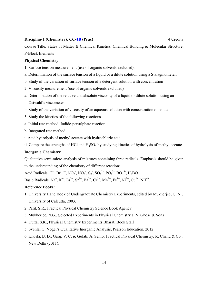#### Discipline 1 (Chemistry): CC-1B (Prac) 4 Credits 4 Credits

Course Title: States of Matter & Chemical Kinetics, Chemical Bonding & Molecular Structure, P-Block Elements

### Physical Chemistry

- 1. Surface tension measurement (use of organic solvents excluded).
- a. Determination of the surface tension of a liquid or a dilute solution using a Stalagmometer.
- b. Study of the variation of surface tension of a detergent solution with concentration
- 2. Viscosity measurement (use of organic solvents excluded)
- a. Determination of the relative and absolute viscosity of a liquid or dilute solution using an Ostwald's viscometer
- b. Study of the variation of viscosity of an aqueous solution with concentration of solute
- 3. Study the kinetics of the following reactions
- a. Initial rate method: Iodide-persulphate reaction
- b. Integrated rate method:
- i. Acid hydrolysis of methyl acetate with hydrochloric acid
- ii. Compare the strengths of HCl and  $H_2SO_4$  by studying kinetics of hydrolysis of methyl acetate.

### Inorganic Chemistry

Qualitative semi-micro analysis of mixtures containing three radicals. Emphasis should be given to the understanding of the chemistry of different reactions.

Acid Radicals: Cl<sup>-</sup>, Br<sup>-</sup>, I<sup>-</sup>, NO<sub>2</sub><sup>-</sup>, NO<sub>3</sub><sup>-</sup>, S<sub>2</sub><sup>-</sup>, SO<sub>4</sub><sup>2</sup><sup>-</sup>, PO<sub>4</sub><sup>3</sup><sup>-</sup>, BO<sub>3</sub><sup>3</sup><sup>-</sup>, H<sub>3</sub>BO<sub>3</sub>. Basic Radicals:  $Na^+$ ,  $K^+$ ,  $Ca^{2+}$ ,  $Sr^{2+}$ ,  $Ba^{2+}$ ,  $Cr^{3+}$ ,  $Mn^{2+}$ ,  $Fe^{3+}$ ,  $Ni^{2+}$ ,  $Cu^{2+}$ ,  $NH^{4+}$ .

- 1. University Hand Book of Undergraduate Chemistry Experiments, edited by Mukherjee, G. N., University of Calcutta, 2003.
- 2. Palit, S.R., Practical Physical Chemistry Science Book Agency
- 3. Mukherjee, N.G., Selected Experiments in Physical Chemistry J. N. Ghose & Sons
- 4. Dutta, S.K., Physical Chemistry Experiments Bharati Book Stall
- 5. Svehla, G. Vogel's Qualitative Inorganic Analysis, Pearson Education, 2012.
- 6. Khosla, B. D.; Garg, V. C. & Gulati, A. Senior Practical Physical Chemistry, R. Chand & Co.: New Delhi (2011).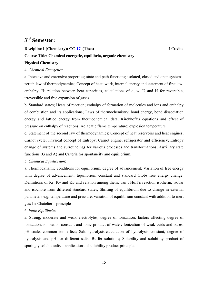### 3rd Semester:

## Discipline 1 (Chemistry): CC-1C (Theo) 4 Credits Course Title: Chemical energetic, equilibria, organic chemistry

### Physical Chemistry

### 4. *Chemical Energetics*

a. Intensive and extensive properties; state and path functions; isolated, closed and open systems; zeroth law of thermodynamics; Concept of heat, work, internal energy and statement of first law; enthalpy, H; relation between heat capacities, calculations of q, w, U and H for reversible, irreversible and free expansion of gases

b. Standard states; Heats of reaction; enthalpy of formation of molecules and ions and enthalpy of combustion and its applications; Laws of thermochemistry; bond energy, bond dissociation energy and lattice energy from thermochemical data, Kirchhoff's equations and effect of pressure on enthalpy of reactions; Adiabatic flame temperature; explosion temperature

c. Statement of the second law of thermodynamics; Concept of heat reservoirs and heat engines; Carnot cycle; Physical concept of Entropy; Carnot engine, refrigerator and efficiency; Entropy change of systems and surroundings for various processes and transformations; Auxiliary state functions (G and A) and Criteria for spontaneity and equilibrium.

### 5. *Chemical Equilibrium*:

a. Thermodynamic conditions for equilibrium, degree of advancement; Variation of free energy with degree of advancement; Equilibrium constant and standard Gibbs free energy change; Definitions of  $K_P$ ,  $K_C$  and  $K_X$  and relation among them; van't Hoff's reaction isotherm, isobar and isochore from different standard states; Shifting of equilibrium due to change in external parameters e.g. temperature and pressure; variation of equilibrium constant with addition to inert gas; Le Chatelier's principle

### 6. *Ionic Equilibria*:

a. Strong, moderate and weak electrolytes, degree of ionization, factors affecting degree of ionization, ionization constant and ionic product of water; Ionization of weak acids and bases, pH scale, common ion effect; Salt hydrolysis-calculation of hydrolysis constant, degree of hydrolysis and pH for different salts; Buffer solutions; Solubility and solubility product of sparingly soluble salts – applications of solubility product principle.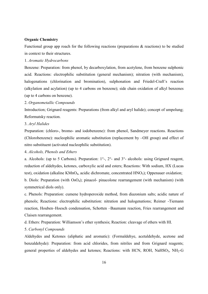### Organic Chemistry

Functional group app roach for the following reactions (preparations  $\&$  reactions) to be studied in context to their structures.

### 1. *Aromatic Hydrocarbons*

Benzene: Preparation: from phenol, by decarboxylation, from acetylene, from benzene sulphonic acid. Reactions: electrophilic substitution (general mechanism); nitration (with mechanism), halogenations (chlorination and bromination), sulphonation and Friedel-Craft's reaction (alkylation and acylation) (up to 4 carbons on benzene); side chain oxidation of alkyl benzenes (up to 4 carbons on benzene).

### 2. *Organometallic Compounds*

Introduction; Grignard reagents: Preparations (from alkyl and aryl halide); concept of umpolung; Reformatsky reaction.

### 3. *Aryl Halides*

Preparation: (chloro-, bromo- and iodobenzene): from phenol, Sandmeyer reactions. Reactions (Chlorobenzene): nucleophilic aromatic substitution (replacement by –OH group) and effect of nitro substituent (activated nucleophilic substitution).

### 4. *Alcohols, Phenols and Ethers*

a. Alcohols: (up to 5 Carbons). Preparation: 1°-, 2°- and 3°- alcohols: using Grignard reagent, reduction of aldehydes, ketones, carboxylic acid and esters; Reactions: With sodium, HX (Lucas test), oxidation (alkaline KMnO<sub>4</sub>, acidic dichromate, concentrated HNO<sub>3</sub>); Oppenauer oxidation; b. Diols: Preparation (with  $OsO<sub>4</sub>$ ); pinacol- pinacolone rearrangement (with mechanism) (with symmetrical diols only).

c. Phenols: Preparation: cumene hydroperoxide method, from diazonium salts; acidic nature of phenols; Reactions: electrophilic substitution: nitration and halogenations; Reimer -Tiemann reaction, Houben–Hoesch condensation, Schotten –Baumann reaction, Fries rearrangement and Claisen rearrangement.

d. Ethers: Preparation: Williamson's ether synthesis; Reaction: cleavage of ethers with HI.

### 5. *Carbonyl Compounds*

Aldehydes and Ketones (aliphatic and aromatic): (Formaldehye, acetaldehyde, acetone and benzaldehyde): Preparation: from acid chlorides, from nitriles and from Grignard reagents; general properties of aldehydes and ketones; Reactions: with HCN, ROH, NaHSO3, NH<sub>2</sub>-G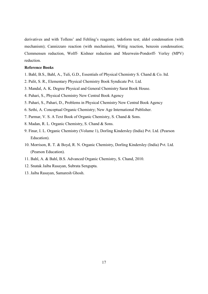derivatives and with Tollens' and Fehling's reagents; iodoform test; aldol condensation (with mechanism); Cannizzaro reaction (with mechanism), Wittig reaction, benzoin condensation; Clemmensen reduction, Wolff- Kishner reduction and Meerwein-Pondorff- Verley (MPV) reduction.

- 1. Bahl, B.S., Bahl, A., Tuli, G.D., Essentials of Physical Chemistry S. Chand & Co. ltd.
- 2. Palit, S. R., Elementary Physical Chemistry Book Syndicate Pvt. Ltd.
- 3. Mandal, A. K. Degree Physical and General Chemistry Sarat Book House.
- 4. Pahari, S., Physical Chemistry New Central Book Agency
- 5. Pahari, S., Pahari, D., Problems in Physical Chemistry New Central Book Agency
- 6. Sethi, A. Conceptual Organic Chemistry; New Age International Publisher.
- 7. Parmar, V. S. A Text Book of Organic Chemistry, S. Chand & Sons.
- 8. Madan, R. L. Organic Chemistry, S. Chand & Sons.
- 9. Finar, I. L. Organic Chemistry (Volume 1), Dorling Kindersley (India) Pvt. Ltd. (Pearson Education).
- 10. Morrison, R. T. & Boyd, R. N. Organic Chemistry, Dorling Kindersley (India) Pvt. Ltd. (Pearson Education).
- 11. Bahl, A. & Bahl, B.S. Advanced Organic Chemistry, S. Chand, 2010.
- 12. Snatak Jaiba Rasayan, Subrata Sengupta.
- 13. Jaiba Rasayan, Samaresh Ghosh.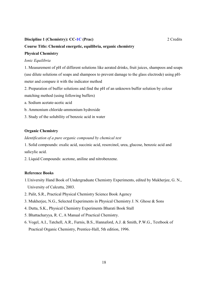### Discipline 1 (Chemistry): CC-1C (Prac) 2 Credits 2 2 Credits

### Course Title: Chemical energetic, equilibria, organic chemistry

### Physical Chemistry

### *Ionic Equilibria*

1. Measurement of pH of different solutions like aerated drinks, fruit juices, shampoos and soaps (use dilute solutions of soaps and shampoos to prevent damage to the glass electrode) using pHmeter and compare it with the indicator method

2. Preparation of buffer solutions and find the pH of an unknown buffer solution by colour matching method (using following buffers)

- a. Sodium acetate-acetic acid
- b. Ammonium chloride-ammonium hydroxide
- 3. Study of the solubility of benzoic acid in water

### Organic Chemistry

### *Identification of a pure organic compound by chemical test*

1. Solid compounds: oxalic acid, succinic acid, resorcinol, urea, glucose, benzoic acid and salicylic acid.

2. Liquid Compounds: acetone, aniline and nitrobenzene.

- 1.University Hand Book of Undergraduate Chemistry Experiments, edited by Mukherjee, G. N., University of Calcutta, 2003.
- 2. Palit, S.R., Practical Physical Chemistry Science Book Agency
- 3. Mukherjee, N.G., Selected Experiments in Physical Chemistry J. N. Ghose & Sons
- 4. Dutta, S.K., Physical Chemistry Experiments Bharati Book Stall
- 5. Bhattacharyya, R. C, A Manual of Practical Chemistry.
- 6. Vogel, A.I., Tatchell, A.R., Furnis, B.S., Hannaford, A.J. & Smith, P.W.G., Textbook of Practical Organic Chemistry, Prentice-Hall, 5th edition, 1996.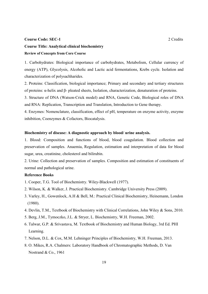#### Course Code: SEC-1 2 Credits

### Course Title: Analytical clinical biochemistry Review of Concepts from Core Course

1. Carbohydrates: Biological importance of carbohydrates, Metabolism, Cellular currency of energy (ATP), Glycolysis, Alcoholic and Lactic acid fermentations, Krebs cycle. Isolation and characterization of polysachharides.

2. Proteins: Classification, biological importance; Primary and secondary and tertiary structures of proteins: α-helix and β- pleated sheets, Isolation, characterization, denaturation of proteins.

3. Structure of DNA (Watson-Crick model) and RNA, Genetic Code, Biological roles of DNA and RNA: Replication, Transcription and Translation, Introduction to Gene therapy.

4. Enzymes: Nomenclature, classification, effect of pH, temperature on enzyme activity, enzyme inhibition, Coenzymes & Cofactors, Biocatalysis.

### Biochemistry of disease: A diagnostic approach by blood/ urine analysis.

1. Blood: Composition and functions of blood, blood coagulation. Blood collection and preservation of samples. Anaemia, Regulation, estimation and interpretation of data for blood sugar, urea, creatinine, cholesterol and bilirubin.

2. Urine: Collection and preservation of samples. Composition and estimation of constituents of normal and pathological urine.

- 1. Cooper, T.G. Tool of Biochemistry. Wiley-Blackwell (1977).
- 2. Wilson, K. & Walker, J. Practical Biochemistry. Cambridge University Press (2009).
- 3. Varley, H., Gowenlock, A.H & Bell, M.: Practical Clinical Biochemistry, Heinemann, London (1980).
- 4. Devlin, T.M., Textbook of Biochemistry with Clinical Correlations, John Wiley & Sons, 2010.
- 5. Berg, J.M., Tymoczko, J.L. & Stryer, L. Biochemistry, W.H. Freeman, 2002.
- 6. Talwar, G.P. & Srivastava, M. Textbook of Biochemistry and Human Biology, 3rd Ed. PHI Learning.
- 7. Nelson, D.L. & Cox, M.M. Lehninger Principles of Biochemistry, W.H. Freeman, 2013.
- 8. O. Mikes, R.A. Chalmers: Laboratory Handbook of Chromatographic Methods, D. Van Nostrand & Co., 1961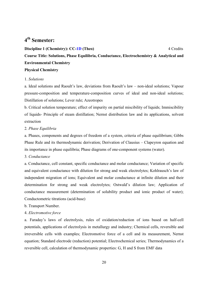### 4th Semester:

Discipline 1 (Chemistry): CC-1D (Theo) 4 Credits Course Title: Solutions, Phase Equilibria, Conductance, Electrochemistry & Analytical and Environmental Chemistry Physical Chemistry

### 1. *Solutions*

a. Ideal solutions and Raoult's law, deviations from Raoult's law – non-ideal solutions; Vapour pressure-composition and temperature-composition curves of ideal and non-ideal solutions; Distillation of solutions; Lever rule; Azeotropes

b. Critical solution temperature; effect of impurity on partial miscibility of liquids; Immiscibility of liquids- Principle of steam distillation; Nernst distribution law and its applications, solvent extraction

### 2*. Phase Equilibria*

a. Phases, components and degrees of freedom of a system, criteria of phase equilibrium; Gibbs Phase Rule and its thermodynamic derivation; Derivation of Clausius – Clapeyron equation and its importance in phase equilibria; Phase diagrams of one-component systems (water).

3*. Conductance*

a. Conductance, cell constant, specific conductance and molar conductance; Variation of specific and equivalent conductance with dilution for strong and weak electrolytes; Kohlrausch's law of independent migration of ions; Equivalent and molar conductance at infinite dilution and their determination for strong and weak electrolytes; Ostwald's dilution law; Application of conductance measurement (determination of solubility product and ionic product of water); Conductometric titrations (acid-base)

b. Transport Number.

### 4. *Electromotive force*

a. Faraday's laws of electrolysis, rules of oxidation/reduction of ions based on half-cell potentials, applications of electrolysis in metallurgy and industry; Chemical cells, reversible and irreversible cells with examples; Electromotive force of a cell and its measurement, Nernst equation; Standard electrode (reduction) potential; Electrochemical series; Thermodynamics of a reversible cell, calculation of thermodynamic properties: G, H and S from EMF data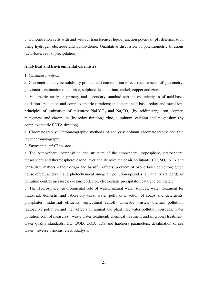b. Concentration cells with and without transference, liquid junction potential; pH determination using hydrogen electrode and quinhydrone; Qualitative discussion of potentiometric titrations (acid-base, redox, precipitation)

### Analytical and Environmental Chemistry

### 1. *Chemical Analysis*

a. Gravimetric analysis: solubility product and common ion effect; requirements of gravimetry; gravimetric estimation of chloride, sulphate, lead, barium, nickel, copper and zinc.

b. Volumetric analysis: primary and secondary standard substances; principles of acid-base, oxidation –reduction and complexometric titrations; indicators: acid-base, redox and metal ion; principles of estimation of mixtures:  $NaHCO<sub>3</sub>$  and  $Na<sub>2</sub>CO<sub>3</sub>$  (by acidimetry); iron, copper, manganese and chromium (by redox titration); zinc, aluminum, calcium and magnesium (by complexometric EDTA titration).

c. Chromatography: Chromatographic methods of analysis: column chromatography and thin layer chromatography.

#### 2. *Environmental Chemistry*

a. The Atmosphere: composition and structure of the atmosphere; troposphere, stratosphere, mesosphere and thermosphere; ozone layer and its role; major air pollutants:  $CO$ ,  $SO<sub>2</sub>$ ,  $NOx$  and particulate matters – their origin and harmful effects; problem of ozone layer depletion; green house effect; acid rain and photochemical smog; air pollution episodes: air quality standard; air pollution control measures: cyclone collector, electrostatic precipitator, catalytic converter.

b. The Hydrosphere: environmental role of water, natural water sources, water treatment for industrial, domestic and laboratory uses; water pollutants; action of soaps and detergents, phosphates, industrial effluents, agricultural runoff, domestic wastes; thermal pollution, radioactive pollution and their effects on animal and plant life; water pollution episodes: water pollution control measures : waste water treatment; chemical treatment and microbial treatment; water quality standards: DO, BOD, COD, TDS and hardness parameters; desalination of sea water : reverse osmosis, electrodialysis.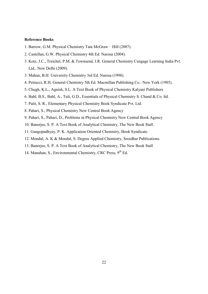- 1. Barrow, G.M. Physical Chemistry Tata McGraw Hill (2007).
- 2. Castellan, G.W. Physical Chemistry 4th Ed. Narosa (2004).
- 3. Kotz, J.C., Treichel, P.M. & Townsend, J.R. General Chemistry Cengage Learning India Pvt. Ltd., New Delhi (2009).
- 3. Mahan, B.H. University Chemistry 3rd Ed. Narosa (1998).
- 4. Petrucci, R.H. General Chemistry 5th Ed. Macmillan Publishing Co.: New York (1985).
- 5. Chugh, K.L., Agnish, S.L. A Text Book of Physical Chemistry Kalyani Publishers
- 6. Bahl, B.S., Bahl, A., Tuli, G.D., Essentials of Physical Chemistry S. Chand & Co. ltd.
- 7. Palit, S. R., Elementary Physical Chemistry Book Syndicate Pvt. Ltd.
- 8. Pahari, S., Physical Chemistry New Central Book Agency
- 9. Pahari, S., Pahari, D., Problems in Physical Chemistry New Central Book Agency
- 10. Banerjee, S. P. A Text Book of Analytical Chemistry, The New Book Stall.
- 11. Gangopadhyay, P. K. Application Oriented Chemistry, Book Syndicate.
- 12. Mondal, A. K & Mondal, S. Degree Applied Chemistry, Sreedhar Publications.
- 13. Banerjee, S. P. A Text Book of Analytical Chemistry, The New Book Stall
- 14. Manahan, S., Environmental Chemistry, CRC Press, 9<sup>th</sup> Ed.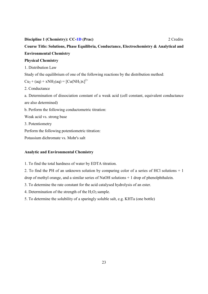### Discipline 1 (Chemistry): CC-1D (Prac) 2 Credits

### Course Title: Solutions, Phase Equilibria, Conductance, Electrochemistry & Analytical and Environmental Chemistry

### Physical Chemistry

1. Distribution Law

Study of the equilibrium of one of the following reactions by the distribution method:

 $Cu_2 + (aq) + xNH_2(aq) = [Cu(NH_3)x]^{2+}$ 

2. Conductance

a. Determination of dissociation constant of a weak acid (cell constant, equivalent conductance are also determined)

b. Perform the following conductometric titration:

Weak acid vs. strong base

3. Potentiometry

Perform the following potentiometric titration:

Potassium dichromate vs. Mohr's salt

### Analytic and Environmental Chemistry

- 1. To find the total hardness of water by EDTA titration.
- 2. To find the PH of an unknown solution by comparing color of a series of HCl solutions + 1 drop of methyl orange, and a similar series of NaOH solutions + 1 drop of phenolphthalein.

3. To determine the rate constant for the acid catalysed hydrolysis of an ester.

4. Determination of the strength of the  $H_2O_2$  sample.

5. To determine the solubility of a sparingly soluble salt, e.g. KHTa (one bottle)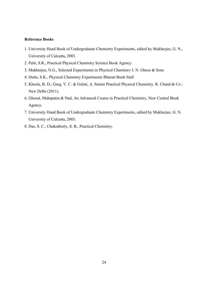- 1. University Hand Book of Undergraduate Chemistry Experiments, edited by Mukherjee, G. N., University of Calcutta, 2003.
- 2. Palit, S.R., Practical Physical Chemistry Science Book Agency
- 3. Mukherjee, N.G., Selected Experiments in Physical Chemistry J. N. Ghose & Sons
- 4. Dutta, S.K., Physical Chemistry Experiments Bharati Book Stall
- 5. Khosla, B. D.; Garg, V. C. & Gulati, A. Senior Practical Physical Chemistry, R. Chand & Co.: New Delhi (2011).
- 6. Ghosal, Mahapatra & Nad, An Advanced Course in Practical Chemistry, New Central Book Agency.
- 7. University Hand Book of Undergraduate Chemistry Experiments, edited by Mukherjee, G. N. University of Calcutta, 2003.
- 8. Das, S. C., Chakraborty, S. B., Practical Chemistry.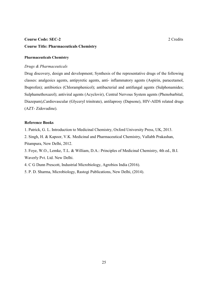### **Course Code: SEC-2** 2 Credits 2 2 Credits

### Course Title: Pharmaceuticals Chemistry

### Pharmaceuticals Chemistry

### *Drugs & Pharmaceuticals*

Drug discovery, design and development; Synthesis of the representative drugs of the following classes: analgesics agents, antipyretic agents, anti- inflammatory agents (Aspirin, paracetamol, lbuprofen); antibiotics (Chloramphenicol); antibacterial and antifungal agents (Sulphonamides; Sulphamethoxazol); antiviral agents (Acyclovir), Central Nervous System agents (Phenobarbital, Diazepam),Cardiovascular (Glyceryl trinitrate), antilaprosy (Dapsone), HIV-AIDS related drugs (AZT- Zidovudine).

### Reference Books

1. Patrick, G. L. Introduction to Medicinal Chemistry, Oxford University Press, UK, 2013.

2. Singh, H. & Kapoor, V.K. Medicinal and Pharmaceutical Chemistry, Vallabh Prakashan, Pitampura, New Delhi, 2012.

3. Foye, W.O., Lemke, T.L. & William, D.A.: Principles of Medicinal Chemistry, 4th ed., B.I. Waverly Pvt. Ltd. New Delhi.

4. C G Dunn Prescott, Industrial Microbiology, Agrobios India (2016).

5. P. D. Sharma, Microbiology, Rastogi Publications, New Delhi, (2014).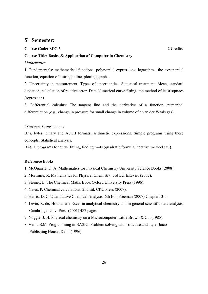### 5th Semester:

### Course Code: SEC-3 2 Credits

### Course Title: Basics & Application of Computer in Chemistry

### *Mathematics*

1. Fundamentals: mathematical functions, polynomial expressions, logarithms, the exponential function, equation of a straight line, plotting graphs.

2. Uncertainty in measurement: Types of uncertainties. Statistical treatment: Mean, standard deviation, calculation of relative error. Data Numerical curve fitting: the method of least squares (regression).

3. Differential calculus: The tangent line and the derivative of a function, numerical differentiation (e.g., change in pressure for small change in volume of a van der Waals gas).

### *Computer Programming*

Bits, bytes, binary and ASCII formats, arithmetic expressions. Simple programs using these concepts. Statistical analysis.

BASIC programs for curve fitting, finding roots (quadratic formula, iterative method etc.).

- 1. McQuarrie, D. A. Mathematics for Physical Chemistry University Science Books (2008).
- 2. Mortimer, R. Mathematics for Physical Chemistry. 3rd Ed. Elsevier (2005).
- 3. Steiner, E. The Chemical Maths Book Oxford University Press (1996).
- 4. Yates, P. Chemical calculations. 2nd Ed. CRC Press (2007).
- 5. Harris, D. C. Quantitative Chemical Analysis. 6th Ed., Freeman (2007) Chapters 3-5.
- 6. Levie, R. de, How to use Excel in analytical chemistry and in general scientific data analysis, Cambridge Univ. Press (2001) 487 pages.
- 7. Noggle, J. H. Physical chemistry on a Microcomputer. Little Brown & Co. (1985).
- 8. Venit, S.M. Programming in BASIC: Problem solving with structure and style. Jaico Publishing House: Delhi (1996).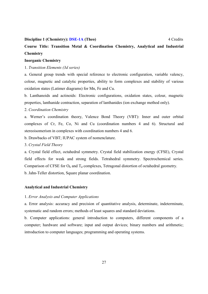#### Discipline 1 (Chemistry): DSE-1A (Theo) 4 Credits 4 Credits

Course Title: Transition Metal & Coordination Chemistry, Analytical and Industrial **Chemistry** 

### Inorganic Chemistry

### 1. *Transition Elements (3d series)*

a. General group trends with special reference to electronic configuration, variable valency, colour, magnetic and catalytic properties, ability to form complexes and stability of various oxidation states (Latimer diagrams) for Mn, Fe and Cu.

b. Lanthanoids and actinoids: Electronic configurations, oxidation states, colour, magnetic properties, lanthanide contraction, separation of lanthanides (ion exchange method only).

### 2. *Coordination Chemistry*

a. Werner's coordination theory, Valence Bond Theory (VBT): Inner and outer orbital complexes of Cr, Fe, Co, Ni and Cu (coordination numbers 4 and 6). Structural and stereoisomerism in complexes with coordination numbers 4 and 6.

- b. Drawbacks of VBT; IUPAC system of nomenclature.
- 3. *Crystal Field Theory*

a. Crystal field effect, octahedral symmetry. Crystal field stabilization energy (CFSE), Crystal field effects for weak and strong fields. Tetrahedral symmetry. Spectrochemical series. Comparison of CFSE for  $O<sub>h</sub>$  and  $T<sub>d</sub>$  complexes, Tetragonal distortion of octahedral geometry. b. Jahn-Teller distortion, Square planar coordination.

#### Analytical and Industrial Chemistry

### 1. *Error Analysis and Computer Applications*

a. Error analysis: accuracy and precision of quantitative analysis, determinate, indeterminate, systematic and random errors; methods of least squares and standard deviations.

b. Computer applications: general introduction to computers, different components of a computer; hardware and software; input and output devices; binary numbers and arithmetic; introduction to computer languages; programming and operating systems.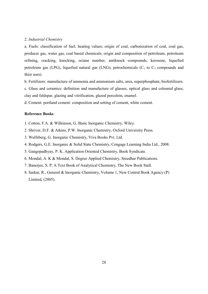#### 2. *Industrial Chemistry*

a. Fuels: classification of fuel; heating values; origin of coal, carbonization of coal, coal gas, producer gas, water gas, coal based chemicals; origin and composition of petroleum, petroleum refining, cracking, knocking, octane number, antiknock compounds, kerosene, liquefied petroleum gas (LPG), liquefied natural gas (LNG); petrochemicals ( $C_1$  to  $C_3$  compounds and their uses).

b. Fertilizers: manufacture of ammonia and ammonium salts, urea, superphosphate, biofertilizers.

c. Glass and ceramics: definition and manufacture of glasses, optical glass and coloured glass; clay and feldspar, glazing and vitrification, glazed porcelein, enamel.

d. Cement: portland cement: composition and setting of cement, white cement.

### Reference Books

1. Cotton, F.A. & Wilkinson, G. Basic Inorganic Chemistry, Wiley.

2. Shriver, D.F. & Atkins, P.W. Inorganic Chemistry, Oxford University Press.

3. Wulfsberg, G. Inorganic Chemistry, Viva Books Pvt. Ltd.

- 4. Rodgers, G.E. Inorganic & Solid State Chemistry, Cengage Learning India Ltd., 2008.
- 5. Gangopadhyay, P. K. Application Oriented Chemistry, Book Syndicate.
- 6. Mondal, A. K & Mondal, S. Degree Applied Chemistry, Sreedhar Publications.
- 7. Banerjee, S. P. A Text Book of Analytical Chemistry, The New Book Stall.
- 8. Sarkar, R., General & Inorganic Chemistry, Volume 1, New Central Book Agency (P) Limited, (2005).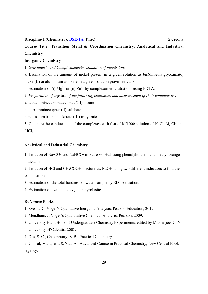#### Discipline 1 (Chemistry): DSE-1A (Prac) 2 Credits 2 2 Credits

Course Title: Transition Metal & Coordination Chemistry, Analytical and Industrial **Chemistry** 

### Inorganic Chemistry

1. *Gravimetric and Complexometric estimation of metals ions*:

a. Estimation of the amount of nickel present in a given solution as bis(dimethylglyoximato) nickel(II) or aluminium as oxine in a given solution gravimetrically.

b. Estimation of (i)  $Mg^{2+}$  or (ii)  $Zn^{2+}$  by complexometric titrations using EDTA.

2. *Preparation of any two of the following complexes and measurement of their conductivity*:

a. tetraamminecarbonatocobalt (III) nitrate

- b. tetraamminecopper (II) sulphate
- c. potassium trioxalatoferrate (III) trihydrate

3. Compare the conductance of the complexes with that of  $M/1000$  solution of NaCl,  $MgCl<sub>2</sub>$  and  $LiCl<sub>3</sub>$ .

### Analytical and Industrial Chemistry

1. Titration of  $Na<sub>2</sub>CO<sub>3</sub>$  and NaHCO<sub>3</sub> mixture vs. HCl using phenolphthalein and methyl orange indicators.

2. Titration of HCl and CH3COOH mixture vs. NaOH using two different indicators to find the composition.

3. Estimation of the total hardness of water sample by EDTA titration.

4. Estimation of available oxygen in pyrolusite.

### Reference Books

1. Svehla, G. Vogel's Qualitative Inorganic Analysis, Pearson Education, 2012.

- 2. Mendham, J. Vogel's Quantitative Chemical Analysis, Pearson, 2009.
- 3. University Hand Book of Undergraduate Chemistry Experiments, edited by Mukherjee, G. N. University of Calcutta, 2003.
- 4. Das, S. C., Chakraborty, S. B., Practical Chemistry.

5. Ghosal, Mahapatra & Nad, An Advanced Course in Practical Chemistry, New Central Book Agency.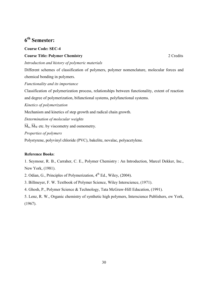### 6th Semester:

### Course Code: SEC-4

### **Course Title: Polymer Chemistry 22 Credits** 2 2 Credits

*Introduction and history of polymeric materials*

Different schemes of classification of polymers, polymer nomenclature, molecular forces and chemical bonding in polymers.

*Functionality and its importance*

Classification of polymerization process, relationships between functionality, extent of reaction and degree of polymerization, bifunctional systems, polyfunctional systems.

*Kinetics of polymerization*

Mechanism and kinetics of step growth and radical chain growth.

*Determination of molecular weights*

 $\overline{M}_n$ ,  $\overline{M}_w$  etc. by viscometry and osmometry.

*Properties of polymers*

Polystyrene, polyvinyl chloride (PVC), bakelite, novalac, polyacetylene.

### Reference Books:

1. Seymour, R. B., Carraher, C. E., Polymer Chemistry : An Introduction, Marcel Dekker, Inc., New York, (1981).

2. Odian, G., Principles of Polymerization,  $4<sup>th</sup>$  Ed., Wiley, (2004).

3. Billmeyer, F. W. Textbook of Polymer Science, Wiley Interscience, (1971).

4. Ghosh, P., Polymer Science & Technology, Tata McGraw-Hill Education, (1991).

5. Lenz, R. W., Organic chemistry of synthetic high polymers, Interscience Publishers, ew York, (1967).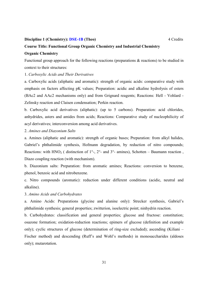#### **Discipline 1 (Chemistry): DSE-1B (Theo)** 4 Credits 4 Credits

### Course Title: Functional Group Organic Chemistry and Industrial Chemistry

### Organic Chemistry

Functional group approach for the following reactions (preparations & reactions) to be studied in context to their structures:

1. *Carboxylic Acids and Their Derivatives*

a. Carboxylic acids (aliphatic and aromatic): strength of organic acids: comparative study with emphasis on factors affecting pK values; Preparation: acidic and alkaline hydrolysis of esters (BAc2 and AAc2 mechanisms only) and from Grignard reagents; Reactions: Hell - Vohlard - Zelinsky reaction and Claisen condensation; Perkin reaction.

b. Carboxylic acid derivatives (aliphatic): (up to 5 carbons). Preparation: acid chlorides, anhydrides, asters and amides from acids; Reactions: Comparative study of nucleophilicity of acyl derivatives; interconversion among acid derivatives.

### 2. *Amines and Diazonium Salts*

a. Amines (aliphatic and aromatic): strength of organic bases; Preparation: from alkyl halides, Gabriel's phthalimide synthesis, Hofmann degradation, by reduction of nitro compounds; Reactions: with HNO<sub>2</sub> ( distinction of  $1^\circ$ -,  $2^\circ$ - and  $3^\circ$ - amines), Schotten – Baumann reaction Diazo coupling reaction (with mechanism).

b. Diazonium salts: Preparation: from aromatic amines; Reactions: conversion to benzene, phenol, benzoic acid and nitrobenzene.

c. Nitro compounds (aromatic): reduction under different conditions (acidic, neutral and alkaline).

### 3. *Amino Acids and Carbohydrates*

a. Amino Acids: Preparations (glycine and alanine only): Strecker synthesis, Gabriel's phthalimide synthesis; general properties; zwitterion, isoelectric point; ninhydrin reaction.

b. Carbohydrates: classification and general properties; glucose and fructose: constitution; osazone formation; oxidation-reduction reactions; epimers of glucose (definition and example only); cyclic structures of glucose (determination of ring-size excluded); ascending (Kiliani – Fischer method) and descending (Ruff's and Wohl's methods) in monosaccharides (aldoses only); mutarotation.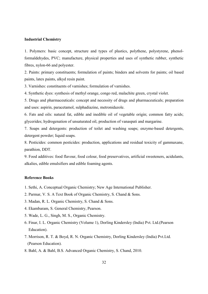#### Industrial Chemistry

1. Polymers: basic concept, structure and types of plastics, polythene, polystyrene, phenolformaldehydes, PVC; manufacture, physical properties and uses of synthetic rubber, synthetic fibres, nylon-66 and polyester.

2. Paints: primary constituents; formulation of paints; binders and solvents for paints; oil based paints, latex paints, alkyd resin paint.

3. Varnishes: constituents of varnishes; formulation of varnishes.

4. Synthetic dyes: synthesis of methyl orange, congo red, malachite green, crystal violet.

5. Drugs and pharmaceuticals: concept and necessity of drugs and pharmaceuticals; preparation and uses: aspirin, paracetamol, sulphadiazine, metronidazole.

6. Fats and oils: natural fat, edible and inedible oil of vegetable origin; common fatty acids; glycerides; hydrogenation of unsaturated oil, production of vanaspati and margarine.

7. Soaps and detergents: production of toilet and washing soaps; enzyme-based detergents, detergent powder; liquid soaps.

8. Pesticides: common pesticides: production, applications and residual toxicity of gammaxane, parathion, DDT.

9. Food additives: food flavour, food colour, food preservatives, artificial sweeteners, acidulants, alkalies, edible emulsifiers and edible foaming agents.

- 1. Sethi, A. Conceptual Organic Chemistry; New Age International Publisher.
- 2. Parmar, V. S. A Text Book of Organic Chemistry, S. Chand & Sons.
- 3. Madan, R. L. Organic Chemistry, S. Chand & Sons.
- 4. Ekambaram, S. General Chemistry, Pearson.
- 5. Wade, L. G., Singh, M. S., Organic Chemistry.
- 6. Finar, I. L. Organic Chemistry (Volume 1), Dorling Kindersley (India) Pvt. Ltd.(Pearson Education).
- 7. Morrison, R. T. & Boyd, R. N. Organic Chemistry, Dorling Kindersley (India) Pvt.Ltd. (Pearson Education).
- 8. Bahl, A. & Bahl, B.S. Advanced Organic Chemistry, S. Chand, 2010.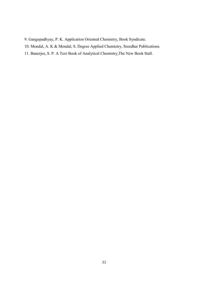- 9. Gangopadhyay, P. K. Application Oriented Chemistry, Book Syndicate.
- 10. Mondal, A. K & Mondal, S. Degree Applied Chemistry, Sreedhar Publications.
- 11. Banerjee, S. P. A Text Book of Analytical Chemistry,The New Book Stall.